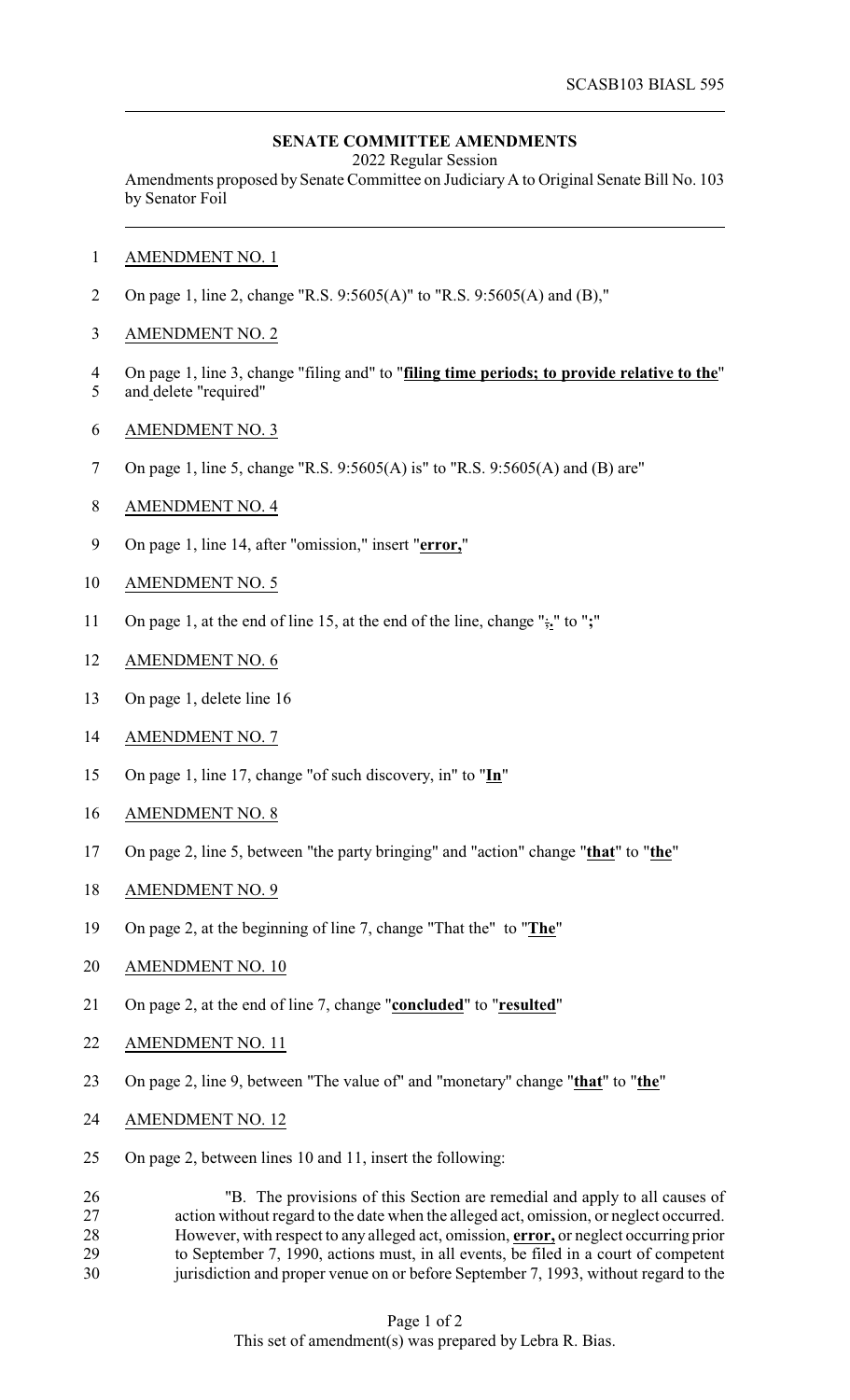## **SENATE COMMITTEE AMENDMENTS**

2022 Regular Session

Amendments proposed by Senate Committee on JudiciaryA to Original Senate Bill No. 103 by Senator Foil

- AMENDMENT NO. 1
- On page 1, line 2, change "R.S. 9:5605(A)" to "R.S. 9:5605(A) and (B),"
- AMENDMENT NO. 2
- On page 1, line 3, change "filing and" to "**filing time periods; to provide relative to the**" and delete "required"
- AMENDMENT NO. 3
- On page 1, line 5, change "R.S. 9:5605(A) is" to "R.S. 9:5605(A) and (B) are"
- AMENDMENT NO. 4
- On page 1, line 14, after "omission," insert "**error,**"
- AMENDMENT NO. 5
- On page 1, at the end of line 15, at the end of the line, change ";**.**" to "**;**"
- AMENDMENT NO. 6
- On page 1, delete line 16
- AMENDMENT NO. 7
- On page 1, line 17, change "of such discovery, in" to "**In**"
- AMENDMENT NO. 8
- On page 2, line 5, between "the party bringing" and "action" change "**that**" to "**the**"
- AMENDMENT NO. 9
- On page 2, at the beginning of line 7, change "That the" to "**The**"
- AMENDMENT NO. 10
- On page 2, at the end of line 7, change "**concluded**" to "**resulted**"
- AMENDMENT NO. 11
- On page 2, line 9, between "The value of" and "monetary" change "**that**" to "**the**"
- AMENDMENT NO. 12
- On page 2, between lines 10 and 11, insert the following:

 "B. The provisions of this Section are remedial and apply to all causes of action without regard to the date when the alleged act, omission, or neglect occurred. However, with respect to any alleged act, omission, **error,** or neglect occurring prior to September 7, 1990, actions must, in all events, be filed in a court of competent jurisdiction and proper venue on or before September 7, 1993, without regard to the

## Page 1 of 2 This set of amendment(s) was prepared by Lebra R. Bias.